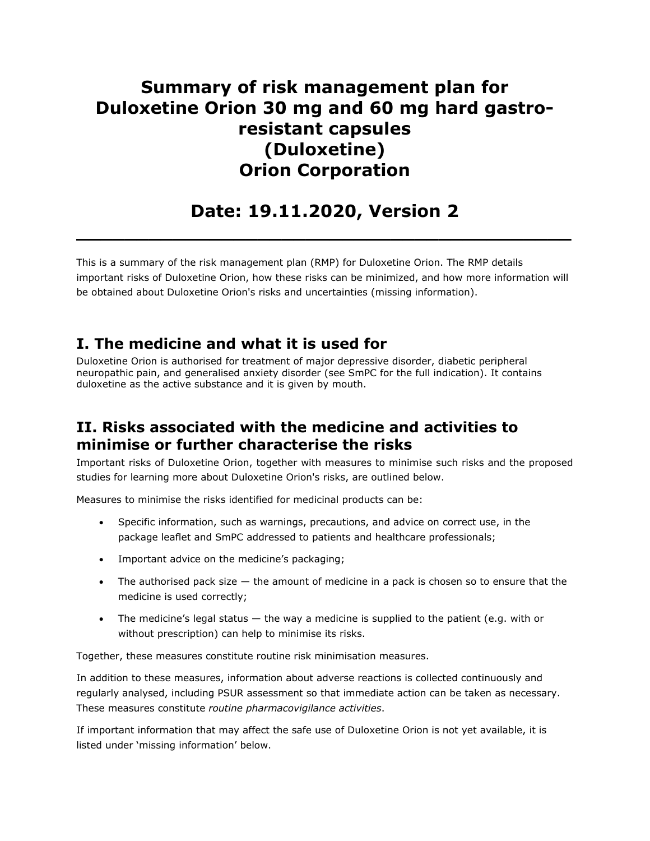# **Summary of risk management plan for Duloxetine Orion 30 mg and 60 mg hard gastroresistant capsules (Duloxetine) Orion Corporation**

# **Date: 19.11.2020, Version 2**

**\_\_\_\_\_\_\_\_\_\_\_\_\_\_\_\_\_\_\_\_\_\_\_\_\_\_\_\_\_\_\_\_\_\_\_\_\_\_\_\_\_**

This is a summary of the risk management plan (RMP) for Duloxetine Orion. The RMP details important risks of Duloxetine Orion, how these risks can be minimized, and how more information will be obtained about Duloxetine Orion's risks and uncertainties (missing information).

### **I. The medicine and what it is used for**

Duloxetine Orion is authorised for treatment of major depressive disorder, diabetic peripheral neuropathic pain, and generalised anxiety disorder (see SmPC for the full indication). It contains duloxetine as the active substance and it is given by mouth.

## **II. Risks associated with the medicine and activities to minimise or further characterise the risks**

Important risks of Duloxetine Orion, together with measures to minimise such risks and the proposed studies for learning more about Duloxetine Orion's risks, are outlined below.

Measures to minimise the risks identified for medicinal products can be:

- Specific information, such as warnings, precautions, and advice on correct use, in the package leaflet and SmPC addressed to patients and healthcare professionals;
- Important advice on the medicine's packaging;
- The authorised pack size the amount of medicine in a pack is chosen so to ensure that the medicine is used correctly;
- The medicine's legal status  $-$  the way a medicine is supplied to the patient (e.g. with or without prescription) can help to minimise its risks.

Together, these measures constitute routine risk minimisation measures.

In addition to these measures, information about adverse reactions is collected continuously and regularly analysed, including PSUR assessment so that immediate action can be taken as necessary. These measures constitute *routine pharmacovigilance activities*.

If important information that may affect the safe use of Duloxetine Orion is not yet available, it is listed under 'missing information' below.